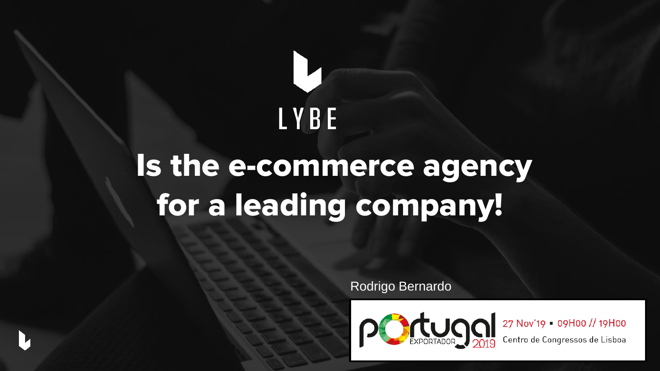# LYBE

## Is the e-commerce agency for a leading company!

Rodrigo Bernardo

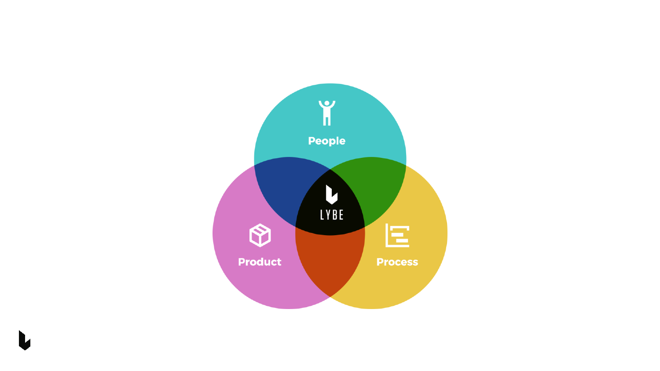

L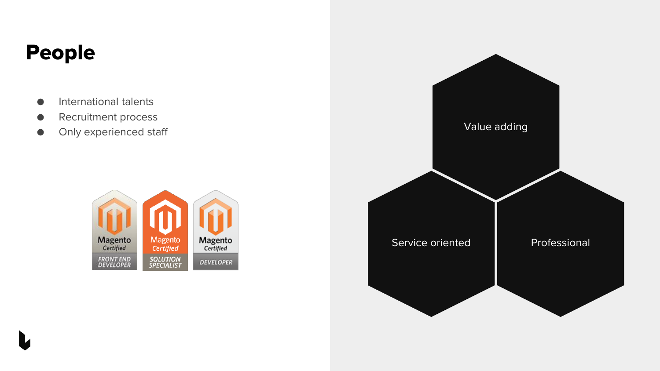## People

- International talents
- Recruitment process
- 



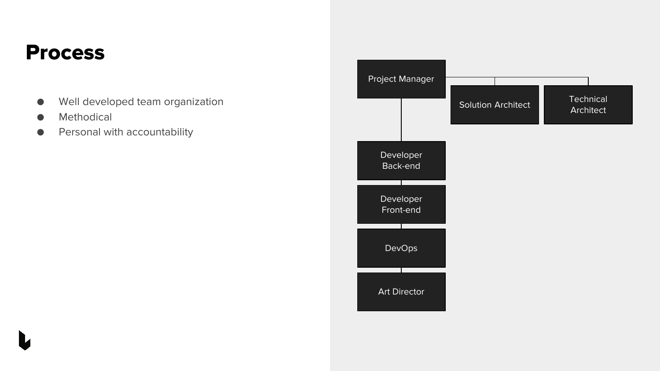### Process

- Well developed team organization
- Methodical
- **•** Personal with accountability

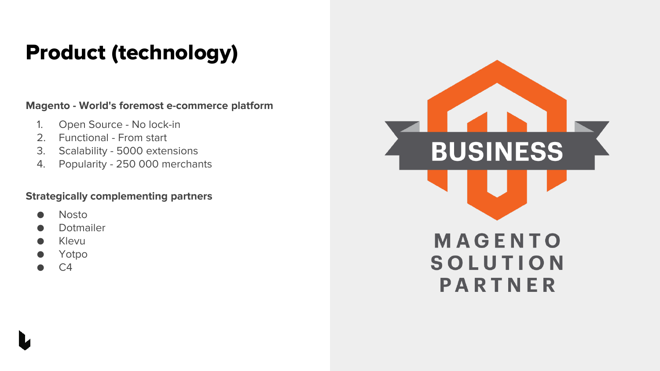## Product (technology)

**Magento - World's foremost e-commerce platform**

- 1. Open Source No lock-in
- 2. Functional From start
- 3. Scalability 5000 extensions
- 4. Popularity 250 000 merchants

#### **Strategically complementing partners**

- **Nosto**
- **Dotmailer**
- **Klevu**
- Yotpo
- C4



PARTNER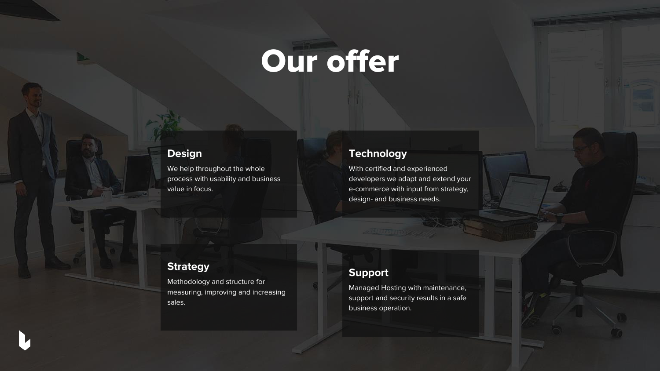## Our offer

#### **Design**

D.

We help throughout the whole process with usability and business value in focus.

#### **Technology**

With certified and experienced developers we adapt and extend your e-commerce with input from strategy, design- and business needs.

#### **Strategy**

Methodology and structure for measuring, improving and increasing sales.

#### **Support**

Managed Hosting with maintenance, support and security results in a safe business operation.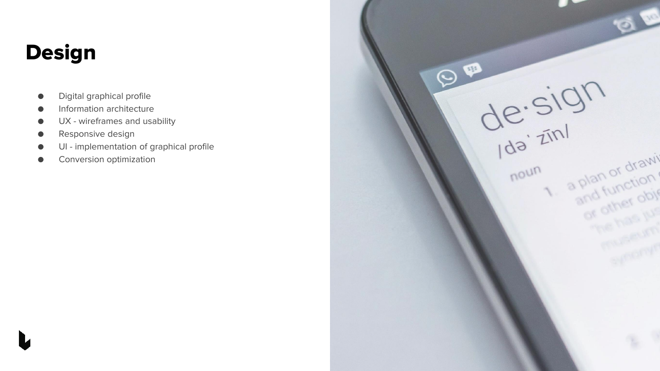## Design

- Digital graphical profile
- **•** Information architecture
- UX wireframes and usability
- Responsive design
- UI implementation of graphical profile
- Conversion optimization

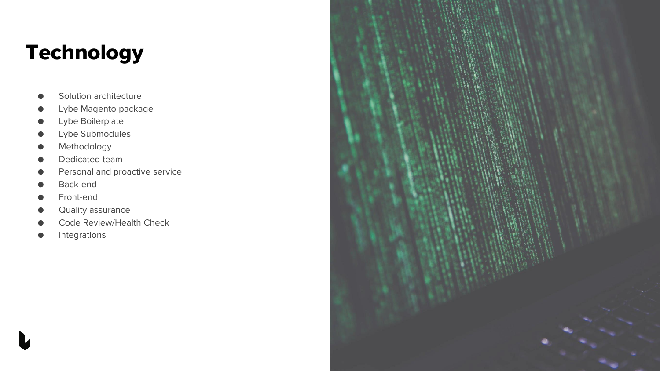## **Technology**

- Solution architecture
- Lybe Magento package
- Lybe Boilerplate
- **Lybe Submodules**
- **•** Methodology
- Dedicated team
- Personal and proactive service
- Back-end
- Front-end
- Quality assurance
- Code Review/Health Check
- Integrations

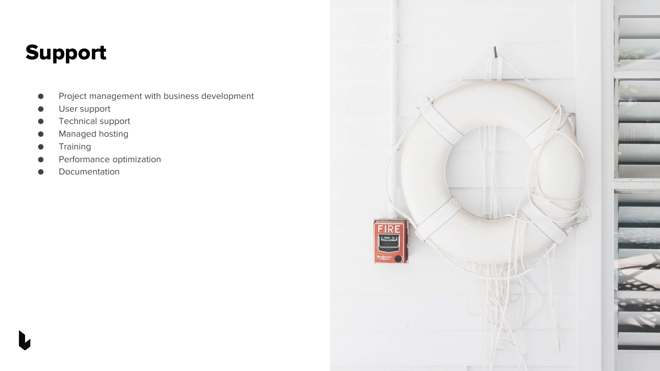## Support

- Project management with business development
- User support
- Technical support
- Managed hosting
- **Training**
- Performance optimization
- Documentation

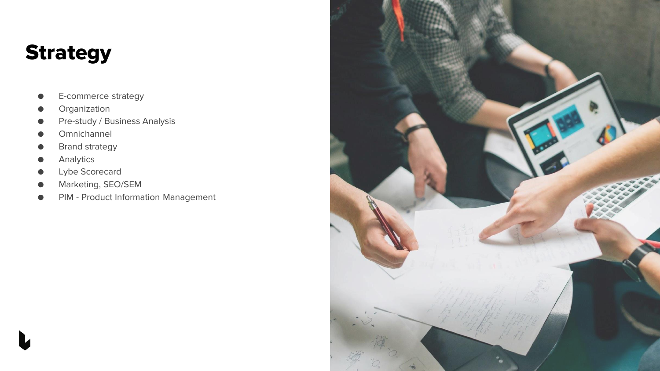## **Strategy**

- E-commerce strategy
- Organization
- Pre-study / Business Analysis
- Omnichannel
- **Brand strategy**
- Analytics
- Lybe Scorecard
- Marketing, SEO/SEM
- PIM Product Information Management